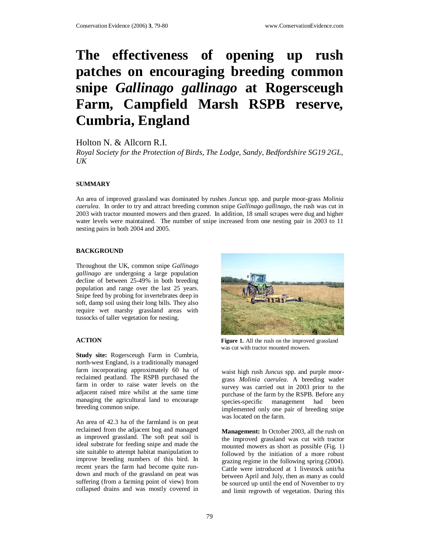# **The effectiveness of opening up rush patches on encouraging breeding common snipe** *Gallinago gallinago* **at Rogersceugh Farm, Campfield Marsh RSPB reserve, Cumbria, England**

Holton N. & Allcorn R.I.

*Royal Society for the Protection of Birds, The Lodge, Sandy, Bedfordshire SG19 2GL,*   $U K$ 

### **SUMMARY**

An area of improved grassland was dominated by rushes *Juncus* spp. and purple moor-grass *Molinia caerulea*. In order to try and attract breeding common snipe *Gallinago gallinago*, the rush was cut in 2003 with tractor mounted mowers and then grazed. In addition, 18 small scrapes were dug and higher water levels were maintained. The number of snipe increased from one nesting pair in 2003 to 11 nesting pairs in both 2004 and 2005.

### **BACKGROUND**

Throughout the UK, common snipe *Gallinago gallinago* are undergoing a large population decline of between 25-49% in both breeding population and range over the last 25 years. Snipe feed by probing for invertebrates deep in soft, damp soil using their long bills. They also require wet marshy grassland areas with tussocks of taller vegetation for nesting.

## **ACTION**

**Study site:** Rogersceugh Farm in Cumbria, north-west England, is a traditionally managed farm incorporating approximately 60 ha of reclaimed peatland. The RSPB purchased the farm in order to raise water levels on the adjacent raised mire whilst at the same time managing the agricultural land to encourage breeding common snipe.

An area of 42.3 ha of the farmland is on peat reclaimed from the adjacent bog and managed as improved grassland. The soft peat soil is ideal substrate for feeding snipe and made the site suitable to attempt habitat manipulation to improve breeding numbers of this bird. In recent years the farm had become quite rundown and much of the grassland on peat was suffering (from a farming point of view) from collapsed drains and was mostly covered in



**Figure 1.** All the rush on the improved grassland was cut with tractor mounted mowers.

waist high rush *Juncus* spp. and purple moorgrass *Molinia caerulea*. A breeding wader survey was carried out in 2003 prior to the purchase of the farm by the RSPB. Before any species-specific management had been implemented only one pair of breeding snipe was located on the farm.

**Management:** In October 2003, all the rush on the improved grassland was cut with tractor mounted mowers as short as possible (Fig. 1) followed by the initiation of a more robust grazing regime in the following spring (2004). Cattle were introduced at 1 livestock unit/ha between April and July, then as many as could be sourced up until the end of November to try and limit regrowth of vegetation. During this